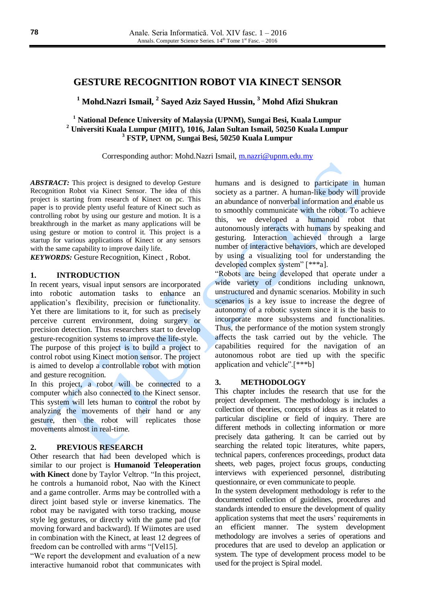# **GESTURE RECOGNITION ROBOT VIA KINECT SENSOR**

**<sup>1</sup> Mohd.Nazri Ismail, 2 Sayed Aziz Sayed Hussin, <sup>3</sup> Mohd Afizi Shukran**

**<sup>1</sup> National Defence University of Malaysia (UPNM), Sungai Besi, Kuala Lumpur <sup>2</sup> Universiti Kuala Lumpur (MIIT), 1016, Jalan Sultan Ismail, 50250 Kuala Lumpur <sup>3</sup> FSTP, UPNM, Sungai Besi, 50250 Kuala Lumpur**

Corresponding author: Mohd.Nazri Ismail, [m.nazri@upnm.edu.my](mailto:m.nazri@upnm.edu.my)

*ABSTRACT:* This project is designed to develop Gesture Recognition Robot via Kinect Sensor. The idea of this project is starting from research of Kinect on pc. This paper is to provide plenty useful feature of Kinect such as controlling robot by using our gesture and motion. It is a breakthrough in the market as many applications will be using gesture or motion to control it. This project is a startup for various applications of Kinect or any sensors with the same capability to improve daily life.

*KEYWORDS:* Gesture Recognition, Kinect , Robot.

### **1. INTRODUCTION**

In recent years, visual input sensors are incorporated into robotic automation tasks to enhance an application's flexibility, precision or functionality. Yet there are limitations to it, for such as precisely perceive current environment, doing surgery or precision detection. Thus researchers start to develop gesture-recognition systems to improve the life-style. The purpose of this project is to build a project to control robot using Kinect motion sensor. The project is aimed to develop a controllable robot with motion and gesture recognition.

In this project, a robot will be connected to a computer which also connected to the Kinect sensor. This system will lets human to control the robot by analyzing the movements of their hand or any gesture, then the robot will replicates those movements almost in real-time.

### **2. PREVIOUS RESEARCH**

Other research that had been developed which is similar to our project is **Humanoid Teleoperation with Kinect** done by Taylor Veltrop. "In this project, he controls a humanoid robot, Nao with the Kinect and a game controller. Arms may be controlled with a direct joint based style or inverse kinematics. The robot may be navigated with torso tracking, mouse style leg gestures, or directly with the game pad (for moving forward and backward). If Wiimotes are used in combination with the Kinect, at least 12 degrees of freedom can be controlled with arms "[Vel15].

"We report the development and evaluation of a new interactive humanoid robot that communicates with humans and is designed to participate in human society as a partner. A human-like body will provide an abundance of nonverbal information and enable us to smoothly communicate with the robot. To achieve this, we developed a humanoid robot that autonomously interacts with humans by speaking and gesturing. Interaction achieved through a large number of interactive behaviors, which are developed by using a visualizing tool for understanding the developed complex system" [\*\*\*a].

"Robots are being developed that operate under a wide variety of conditions including unknown, unstructured and dynamic scenarios. Mobility in such scenarios is a key issue to increase the degree of autonomy of a robotic system since it is the basis to incorporate more subsystems and functionalities. Thus, the performance of the motion system strongly affects the task carried out by the vehicle. The capabilities required for the navigation of an autonomous robot are tied up with the specific application and vehicle".[\*\*\*b]

## **3. METHODOLOGY**

This chapter includes the research that use for the project development. The methodology is includes a collection of theories, concepts of ideas as it related to particular discipline or field of inquiry. There are different methods in collecting information or more precisely data gathering. It can be carried out by searching the related topic literatures, white papers, technical papers, conferences proceedings, product data sheets, web pages, project focus groups, conducting interviews with experienced personnel, distributing questionnaire, or even communicate to people.

In the system development methodology is refer to the documented collection of guidelines, procedures and standards intended to ensure the development of quality application systems that meet the users' requirements in an efficient manner. The system development methodology are involves a series of operations and procedures that are used to develop an application or system. The type of development process model to be used for the project is Spiral model.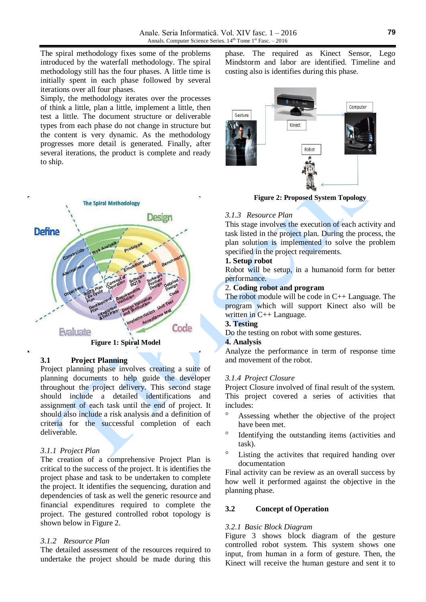The spiral methodology fixes some of the problems introduced by the waterfall methodology. The spiral methodology still has the four phases. A little time is initially spent in each phase followed by several iterations over all four phases.

Simply, the methodology iterates over the processes of think a little, plan a little, implement a little, then test a little. The document structure or deliverable types from each phase do not change in structure but the content is very dynamic. As the methodology progresses more detail is generated. Finally, after several iterations, the product is complete and ready to ship.



### **3.1 Project Planning**

Project planning phase involves creating a suite of planning documents to help guide the developer throughout the project delivery. This second stage should include a detailed identifications and assignment of each task until the end of project. It should also include a risk analysis and a definition of criteria for the successful completion of each deliverable.

### *3.1.1 Project Plan*

The creation of a comprehensive Project Plan is critical to the success of the project. It is identifies the project phase and task to be undertaken to complete the project. It identifies the sequencing, duration and dependencies of task as well the generic resource and financial expenditures required to complete the project. The gestured controlled robot topology is shown below in Figure 2.

#### *3.1.2 Resource Plan*

The detailed assessment of the resources required to undertake the project should be made during this phase. The required as Kinect Sensor, Lego Mindstorm and labor are identified. Timeline and costing also is identifies during this phase.



**Figure 2: Proposed System Topology**

### *3.1.3 Resource Plan*

This stage involves the execution of each activity and task listed in the project plan. During the process, the plan solution is implemented to solve the problem specified in the project requirements.

#### **1. Setup robot**

Robot will be setup, in a humanoid form for better performance.

# 2. **Coding robot and program**

The robot module will be code in C++ Language. The program which will support Kinect also will be written in C++ Language.

# **3. Testing**

Do the testing on robot with some gestures.

#### **4. Analysis**

Analyze the performance in term of response time and movement of the robot.

#### *3.1.4 Project Closure*

Project Closure involved of final result of the system. This project covered a series of activities that includes:

- Assessing whether the objective of the project have been met.
- <sup>o</sup> Identifying the outstanding items (activities and task).
- Listing the activites that required handing over documentation

Final activity can be review as an overall success by how well it performed against the objective in the planning phase.

### **3.2 Concept of Operation**

### *3.2.1 Basic Block Diagram*

Figure 3 shows block diagram of the gesture controlled robot system. This system shows one input, from human in a form of gesture. Then, the Kinect will receive the human gesture and sent it to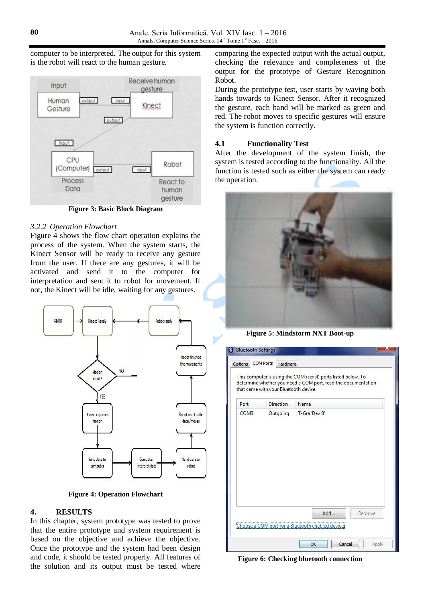computer to be interpreted. The output for this system is the robot will react to the human gesture.



**Figure 3: Basic Block Diagram**

## *3.2.2 Operation Flowchart*

Figure 4 shows the flow chart operation explains the process of the system. When the system starts, the Kinect Sensor will be ready to receive any gesture from the user. If there are any gestures, it will be activated and send it to the computer for interpretation and sent it to robot for movement. If not, the Kinect will be idle, waiting for any gestures.



**Figure 4: Operation Flowchart**

# **4. RESULTS**

In this chapter, system prototype was tested to prove that the entire prototype and system requirement is based on the objective and achieve the objective. Once the prototype and the system had been design and code, it should be tested properly. All features of the solution and its output must be tested where comparing the expected output with the actual output, checking the relevance and completeness of the output for the prototype of Gesture Recognition Robot.

During the prototype test, user starts by waving both hands towards to Kinect Sensor. After it recognized the gesture, each hand will be marked as green and red. The robot moves to specific gestures will ensure the system is function correctly.

# **4.1 Functionality Test**

After the development of the system finish, the system is tested according to the functionality. All the function is tested such as either the system can ready the operation.



**Figure 5: Mindstorm NXT Boot-up**

| Options | <b>COM Ports</b>                      | Hardware         |                                                                                                                                 |  |  |
|---------|---------------------------------------|------------------|---------------------------------------------------------------------------------------------------------------------------------|--|--|
|         | that came with your Bluetooth device. |                  | This computer is using the COM (serial) ports listed below. To<br>determine whether you need a COM port, read the documentation |  |  |
| Port    |                                       | <b>Direction</b> | Name                                                                                                                            |  |  |
| COM3    |                                       | Outgoing         | T-Gra 'Dev B'                                                                                                                   |  |  |
|         |                                       |                  |                                                                                                                                 |  |  |
|         |                                       |                  |                                                                                                                                 |  |  |
|         |                                       |                  | Add<br>Remove                                                                                                                   |  |  |

**Figure 6: Checking bluetooth connection**